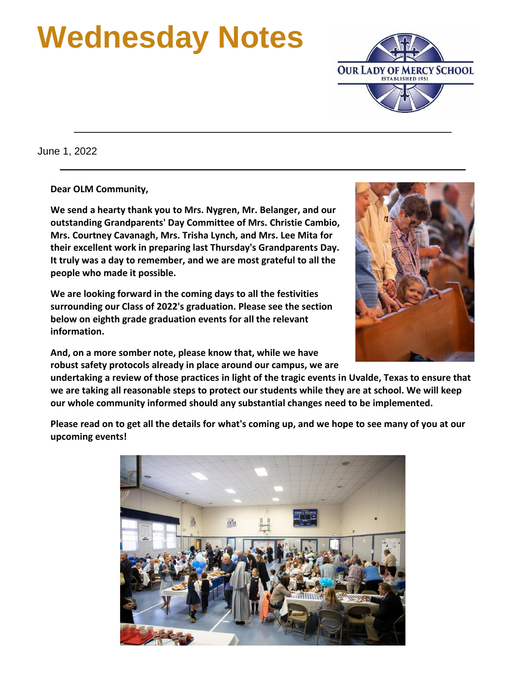# **Wednesday Notes**



June 1, 2022

**Dear OLM Community,**

**We send a hearty thank you to Mrs. Nygren, Mr. Belanger, and our outstanding Grandparents' Day Committee of Mrs. Christie Cambio, Mrs. Courtney Cavanagh, Mrs. Trisha Lynch, and Mrs. Lee Mita for their excellent work in preparing last Thursday's Grandparents Day. It truly was a day to remember, and we are most grateful to all the people who made it possible.**

**We are looking forward in the coming days to all the festivities surrounding our Class of 2022's graduation. Please see the section below on eighth grade graduation events for all the relevant information.**

**And, on a more somber note, please know that, while we have robust safety protocols already in place around our campus, we are** 



**undertaking a review of those practices in light of the tragic events in Uvalde, Texas to ensure that we are taking all reasonable steps to protect our students while they are at school. We will keep our whole community informed should any substantial changes need to be implemented.**

**Please read on to get all the details for what's coming up, and we hope to see many of you at our upcoming events!**

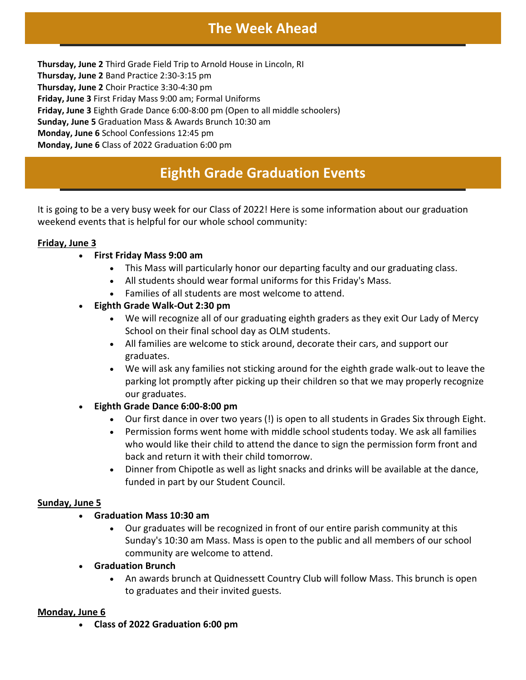## **The Week Ahead**

**Thursday, June 2** Third Grade Field Trip to Arnold House in Lincoln, RI **Thursday, June 2** Band Practice 2:30-3:15 pm **Thursday, June 2** Choir Practice 3:30-4:30 pm **Friday, June 3** First Friday Mass 9:00 am; Formal Uniforms **Friday, June 3** Eighth Grade Dance 6:00-8:00 pm (Open to all middle schoolers) **Sunday, June 5** Graduation Mass & Awards Brunch 10:30 am **Monday, June 6** School Confessions 12:45 pm **Monday, June 6** Class of 2022 Graduation 6:00 pm

## **Eighth Grade Graduation Events**

It is going to be a very busy week for our Class of 2022! Here is some information about our graduation weekend events that is helpful for our whole school community:

#### **Friday, June 3**

- **First Friday Mass 9:00 am**
	- This Mass will particularly honor our departing faculty and our graduating class.
	- All students should wear formal uniforms for this Friday's Mass.
	- Families of all students are most welcome to attend.
- **Eighth Grade Walk-Out 2:30 pm**
	- We will recognize all of our graduating eighth graders as they exit Our Lady of Mercy School on their final school day as OLM students.
	- All families are welcome to stick around, decorate their cars, and support our graduates.
	- We will ask any families not sticking around for the eighth grade walk-out to leave the parking lot promptly after picking up their children so that we may properly recognize our graduates.

#### • **Eighth Grade Dance 6:00-8:00 pm**

- Our first dance in over two years (!) is open to all students in Grades Six through Eight.
- Permission forms went home with middle school students today. We ask all families who would like their child to attend the dance to sign the permission form front and back and return it with their child tomorrow.
- Dinner from Chipotle as well as light snacks and drinks will be available at the dance, funded in part by our Student Council.

#### **Sunday, June 5**

#### • **Graduation Mass 10:30 am**

- Our graduates will be recognized in front of our entire parish community at this Sunday's 10:30 am Mass. Mass is open to the public and all members of our school community are welcome to attend.
- **Graduation Brunch**
	- An awards brunch at Quidnessett Country Club will follow Mass. This brunch is open to graduates and their invited guests.

#### **Monday, June 6**

• **Class of 2022 Graduation 6:00 pm**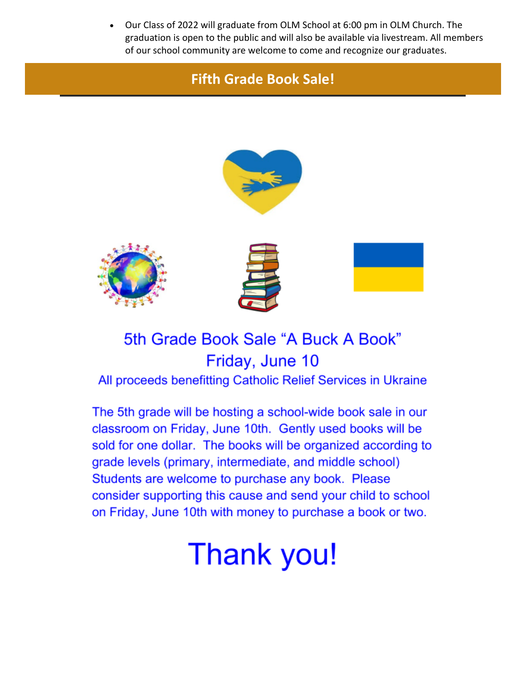• Our Class of 2022 will graduate from OLM School at 6:00 pm in OLM Church. The graduation is open to the public and will also be available via livestream. All members of our school community are welcome to come and recognize our graduates.

## **Fifth Grade Book Sale!**









## 5th Grade Book Sale "A Buck A Book" Friday, June 10

All proceeds benefitting Catholic Relief Services in Ukraine

The 5th grade will be hosting a school-wide book sale in our classroom on Friday, June 10th. Gently used books will be sold for one dollar. The books will be organized according to grade levels (primary, intermediate, and middle school) Students are welcome to purchase any book. Please consider supporting this cause and send your child to school on Friday, June 10th with money to purchase a book or two.

## **Thank you!**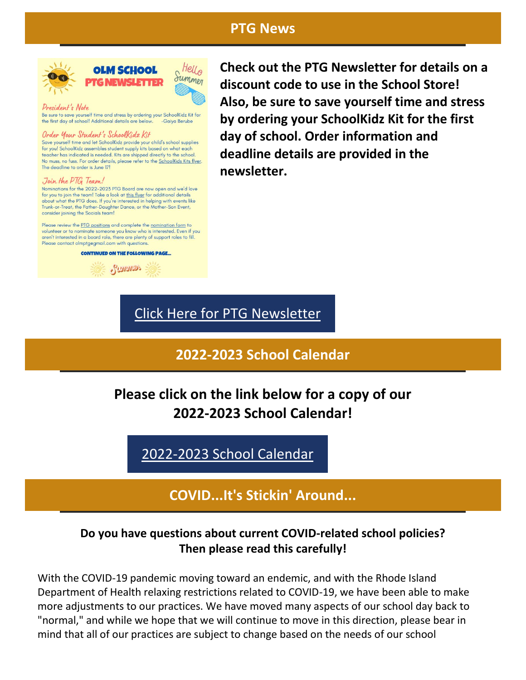### **PTG News**





President's Note

Be sure to save yourself time and stress by ordering your SchoolKidz Kit for the first day of school! Additional details are below. -Gaiva Berube

#### Order Your Student's Schoolkidz Kit

Save yourself time and let SchoolKidz provide your child's school supplies for you! SchoolKidz assembles student supply kits based on what each teacher has indicated is needed. Kits are shipped directly to the school. No muss, no fuss. For order details, please refer to the **SchoolKids Kits flyer**. The deadline to order is June 17!

#### Join the PTG Team!

Nominations for the 2022-2023 PTG Board are now open and we'd love for you to join the team! Take a look at this flyer for additional details about what the PTG does. If you're interested in helping with events like<br>Trunk-or-Treat, the Father-Daughter Dance, or the Mother-Son Event, consider joining the Socials team!

Please review the PTG positions and complete the nomination form to volunteer or to nominate someone you know who is interested. Even if you aren't interested in a board role, there are plenty of support roles to fill. Please contact olmptgegmail.com with questions

#### **CONTINUED ON THE FOLLOWING PAGE.**



**Check out the PTG Newsletter for details on a discount code to use in the School Store! Also, be sure to save yourself time and stress by ordering your SchoolKidz Kit for the first day of school. Order information and deadline details are provided in the newsletter.**

## [Click Here for PTG Newsletter](https://r20.rs6.net/tn.jsp?f=001unnOqE735A0FhrM1aCegcO8BI0jmUoaOx1XFGFMsyXILXByixmzNJ3ASsZwQDk88BXVKLeix0ncq9nDsFYYHgstr9vvK-2lNerpInlqSynjWnXCqduOeDMlX7AaY0G-eW36fS4s7ELamwXKAnoO-3_MAGYKy5OXpHk2_FEzex6mj4waJ2KIr69WyvI0vHTYVcfbkFHOc0x3-O8Votx-YYRZy2wUP52UGExMIIBlK0vo=&c=&ch=)

## **2022-2023 School Calendar**

**Please click on the link below for a copy of our 2022-2023 School Calendar!**

[2022-2023 School Calendar](https://r20.rs6.net/tn.jsp?f=001unnOqE735A0FhrM1aCegcO8BI0jmUoaOx1XFGFMsyXILXByixmzNJ_JchWtjExsxG95xhTHaZezVhDul3nQkmI_YpaUOvLhaz-HKfad8RkHomylSUUz-DSASbruQfbVpVEGv66ogjrD-vrNWi0KKB7EnLK1IOFE6YlhXFVh7sugKlkXtaeu7EogRW0ceY3ya1kR9R3MMfUfj55YyslJBFbGcvLVgEa9z7rY3CcAEgaY=&c=&ch=)

**COVID...It's Stickin' Around...**

#### **Do you have questions about current COVID-related school policies? Then please read this carefully!**

With the COVID-19 pandemic moving toward an endemic, and with the Rhode Island Department of Health relaxing restrictions related to COVID-19, we have been able to make more adjustments to our practices. We have moved many aspects of our school day back to "normal," and while we hope that we will continue to move in this direction, please bear in mind that all of our practices are subject to change based on the needs of our school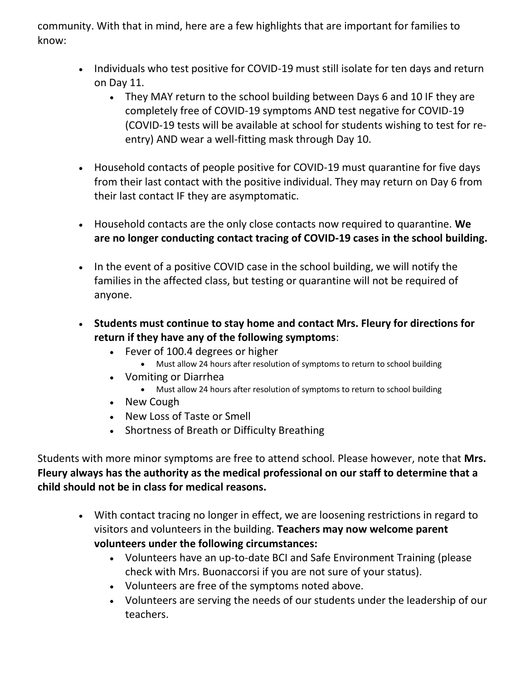community. With that in mind, here are a few highlights that are important for families to know:

- Individuals who test positive for COVID-19 must still isolate for ten days and return on Day 11.
	- They MAY return to the school building between Days 6 and 10 IF they are completely free of COVID-19 symptoms AND test negative for COVID-19 (COVID-19 tests will be available at school for students wishing to test for reentry) AND wear a well-fitting mask through Day 10.
- Household contacts of people positive for COVID-19 must quarantine for five days from their last contact with the positive individual. They may return on Day 6 from their last contact IF they are asymptomatic.
- Household contacts are the only close contacts now required to quarantine. **We are no longer conducting contact tracing of COVID-19 cases in the school building.**
- In the event of a positive COVID case in the school building, we will notify the families in the affected class, but testing or quarantine will not be required of anyone.
- **Students must continue to stay home and contact Mrs. Fleury for directions for return if they have any of the following symptoms**:
	- Fever of 100.4 degrees or higher
		- Must allow 24 hours after resolution of symptoms to return to school building
	- Vomiting or Diarrhea
		- Must allow 24 hours after resolution of symptoms to return to school building
	- New Cough
	- New Loss of Taste or Smell
	- Shortness of Breath or Difficulty Breathing

Students with more minor symptoms are free to attend school. Please however, note that **Mrs. Fleury always has the authority as the medical professional on our staff to determine that a child should not be in class for medical reasons.**

- With contact tracing no longer in effect, we are loosening restrictions in regard to visitors and volunteers in the building. **Teachers may now welcome parent volunteers under the following circumstances:**
	- Volunteers have an up-to-date BCI and Safe Environment Training (please check with Mrs. Buonaccorsi if you are not sure of your status).
	- Volunteers are free of the symptoms noted above.
	- Volunteers are serving the needs of our students under the leadership of our teachers.